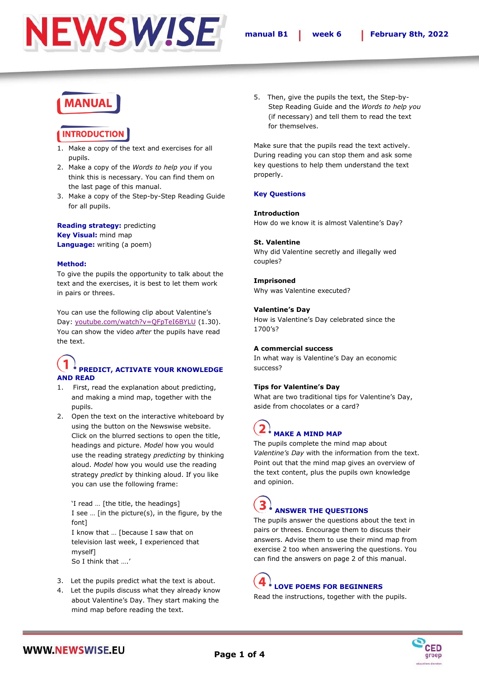

# **MANUAL**

### **INTRODUCTION**

- 1. Make a copy of the text and exercises for all pupils.
- 2. Make a copy of the *Words to help you* if you think this is necessary. You can find them on the last page of this manual.
- 3. Make a copy of the Step-by-Step Reading Guide for all pupils.

#### **Reading strategy:** predicting **Key Visual:** mind map **Language:** writing (a poem)

#### **Method:**

To give the pupils the opportunity to talk about the text and the exercises, it is best to let them work in pairs or threes.

You can use the following clip about Valentine's Day: [youtube.com/watch?v=QFpTeI6BYLU](https://www.youtube.com/watch?v=QFpTeI6BYLU) (1.30). You can show the video *after* the pupils have read the text.

### **PREDICT, ACTIVATE YOUR KNOWLEDGE AND READ**

- 1. First, read the explanation about predicting, and making a mind map, together with the pupils.
- 2. Open the text on the interactive whiteboard by using the button on the Newswise website. Click on the blurred sections to open the title, headings and picture. *Model* how you would use the reading strategy *predicting* by thinking aloud. *Model* how you would use the reading strategy *predict* by thinking aloud. If you like you can use the following frame:

'I read … [the title, the headings] I see … [in the picture(s), in the figure, by the font] I know that … [because I saw that on television last week, I experienced that myself] So I think that ….'

- 3. Let the pupils predict what the text is about.
- 4. Let the pupils discuss what they already know about Valentine's Day. They start making the mind map before reading the text.

5. Then, give the pupils the text, the Step-by-Step Reading Guide and the *Words to help you* (if necessary) and tell them to read the text for themselves.

Make sure that the pupils read the text actively. During reading you can stop them and ask some key questions to help them understand the text properly.

#### **Key Questions**

#### **Introduction**

How do we know it is almost Valentine's Day?

#### **St. Valentine**

Why did Valentine secretly and illegally wed couples?

#### **Imprisoned**

Why was Valentine executed?

#### **Valentine's Day**

How is Valentine's Day celebrated since the 1700's?

#### **A commercial success**

In what way is Valentine's Day an economic success?

#### **Tips for Valentine's Day**

What are two traditional tips for Valentine's Day, aside from chocolates or a card?

## **MAKE A MIND MAP**

The pupils complete the mind map about *Valentine's Day* with the information from the text. Point out that the mind map gives an overview of the text content, plus the pupils own knowledge and opinion.

### **ANSWER THE QUESTIONS**

The pupils answer the questions about the text in pairs or threes. Encourage them to discuss their answers. Advise them to use their mind map from exercise 2 too when answering the questions. You can find the answers on page 2 of this manual.

# **LOVE POEMS FOR BEGINNERS**

Read the instructions, together with the pupils.

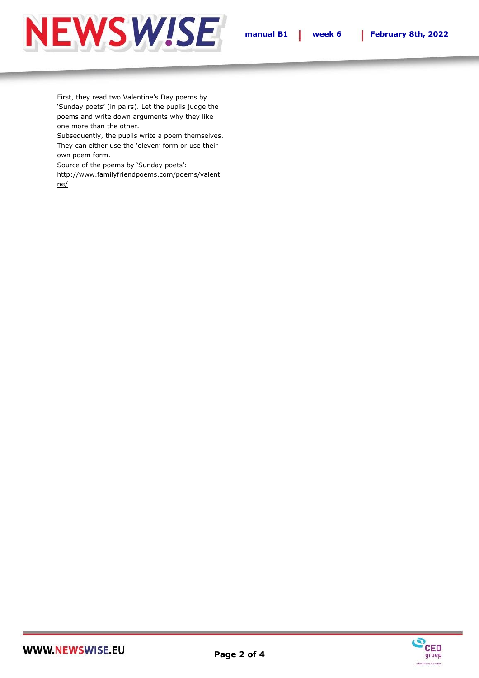





First, they read two Valentine's Day poems by 'Sunday poets' (in pairs). Let the pupils judge the poems and write down arguments why they like one more than the other.

Subsequently, the pupils write a poem themselves. They can either use the 'eleven' form or use their own poem form.

Source of the poems by 'Sunday poets':

[http://www.familyfriendpoems.com/poems/valenti](http://www.familyfriendpoems.com/poems/valentine/) [ne/](http://www.familyfriendpoems.com/poems/valentine/)

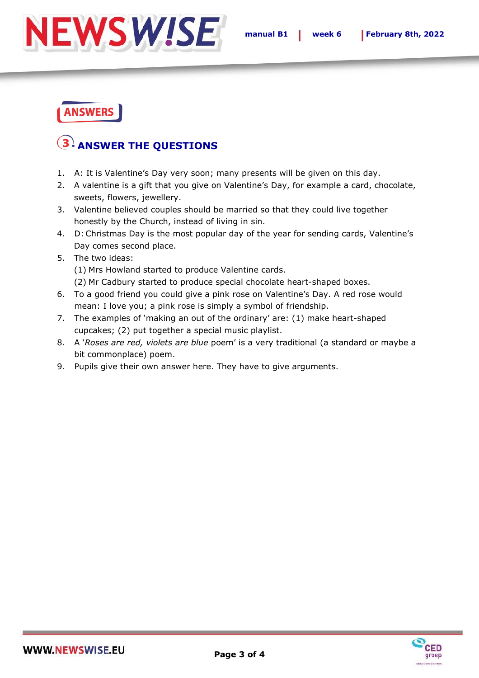

## **ANSWERS**

## **ANSWER THE QUESTIONS**

- 1. A: It is Valentine's Day very soon; many presents will be given on this day.
- 2. A valentine is a gift that you give on Valentine's Day, for example a card, chocolate, sweets, flowers, jewellery.
- 3. Valentine believed couples should be married so that they could live together honestly by the Church, instead of living in sin.
- 4. D: Christmas Day is the most popular day of the year for sending cards, Valentine's Day comes second place.
- 5. The two ideas:

(1) Mrs Howland started to produce Valentine cards.

- (2) Mr Cadbury started to produce special chocolate heart-shaped boxes.
- 6. To a good friend you could give a pink rose on Valentine's Day. A red rose would mean: I love you; a pink rose is simply a symbol of friendship.
- 7. The examples of 'making an out of the ordinary' are: (1) make heart-shaped cupcakes; (2) put together a special music playlist.
- 8. A '*Roses are red, violets are blue* poem' is a very traditional (a standard or maybe a bit commonplace) poem.
- 9. Pupils give their own answer here. They have to give arguments.